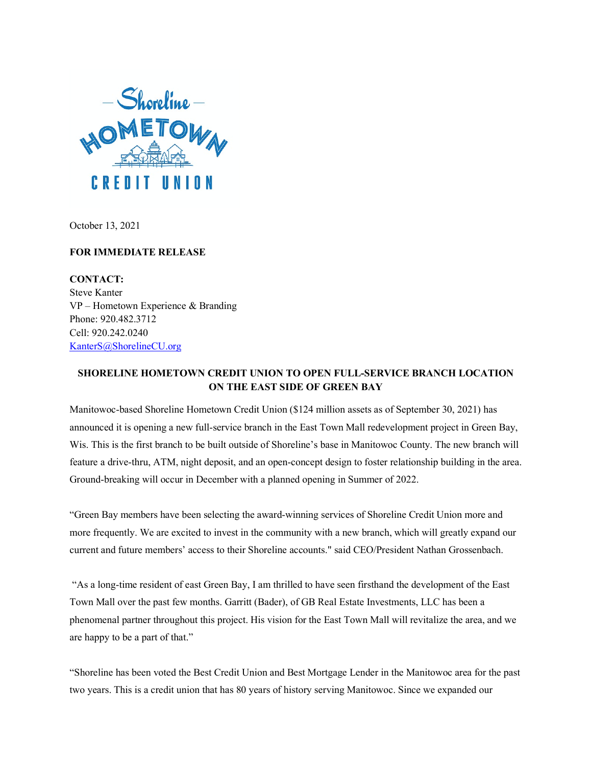

October 13, 2021

## **FOR IMMEDIATE RELEASE**

**CONTACT:** Steve Kanter VP – Hometown Experience & Branding Phone: 920.482.3712 Cell: 920.242.0240 [KanterS@ShorelineCU.org](mailto:KanterS@ShorelineCU.org)

## **SHORELINE HOMETOWN CREDIT UNION TO OPEN FULL-SERVICE BRANCH LOCATION ON THE EAST SIDE OF GREEN BAY**

Manitowoc-based Shoreline Hometown Credit Union (\$124 million assets as of September 30, 2021) has announced it is opening a new full-service branch in the East Town Mall redevelopment project in Green Bay, Wis. This is the first branch to be built outside of Shoreline's base in Manitowoc County. The new branch will feature a drive-thru, ATM, night deposit, and an open-concept design to foster relationship building in the area. Ground-breaking will occur in December with a planned opening in Summer of 2022.

"Green Bay members have been selecting the award-winning services of Shoreline Credit Union more and more frequently. We are excited to invest in the community with a new branch, which will greatly expand our current and future members' access to their Shoreline accounts." said CEO/President Nathan Grossenbach.

"As a long-time resident of east Green Bay, I am thrilled to have seen firsthand the development of the East Town Mall over the past few months. Garritt (Bader), of GB Real Estate Investments, LLC has been a phenomenal partner throughout this project. His vision for the East Town Mall will revitalize the area, and we are happy to be a part of that."

"Shoreline has been voted the Best Credit Union and Best Mortgage Lender in the Manitowoc area for the past two years. This is a credit union that has 80 years of history serving Manitowoc. Since we expanded our